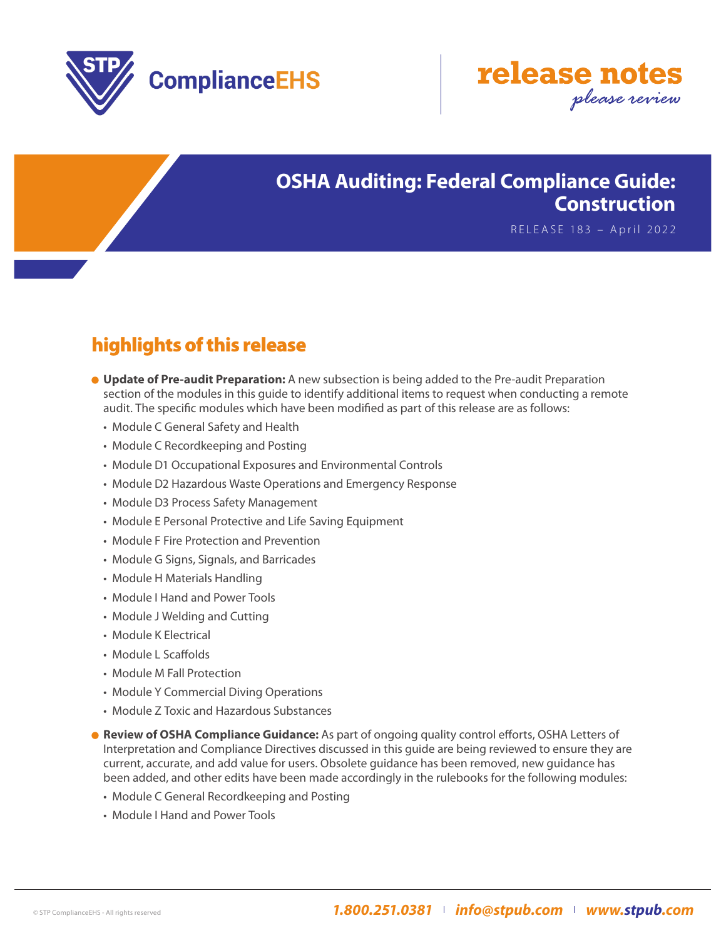



## **OSHA Auditing: Federal Compliance Guide: Construction**

RELEASE 183 – April 2022

## highlights of this release

- **Update of Pre-audit Preparation:** A new subsection is being added to the Pre-audit Preparation section of the modules in this guide to identify additional items to request when conducting a remote audit. The specific modules which have been modified as part of this release are as follows:
	- Module C General Safety and Health
	- Module C Recordkeeping and Posting
	- Module D1 Occupational Exposures and Environmental Controls
	- Module D2 Hazardous Waste Operations and Emergency Response
	- Module D3 Process Safety Management
	- Module E Personal Protective and Life Saving Equipment
	- Module F Fire Protection and Prevention
	- Module G Signs, Signals, and Barricades
	- Module H Materials Handling
	- Module I Hand and Power Tools
	- Module J Welding and Cutting
	- Module K Electrical
	- Module L Scaffolds
	- Module M Fall Protection
	- Module Y Commercial Diving Operations
	- Module Z Toxic and Hazardous Substances
- **Review of OSHA Compliance Guidance:** As part of ongoing quality control efforts, OSHA Letters of Interpretation and Compliance Directives discussed in this guide are being reviewed to ensure they are current, accurate, and add value for users. Obsolete guidance has been removed, new guidance has been added, and other edits have been made accordingly in the rulebooks for the following modules:
	- Module C General Recordkeeping and Posting
	- Module I Hand and Power Tools